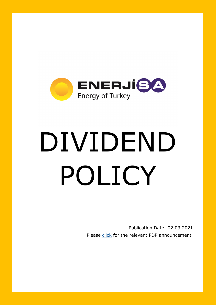

## DIVIDEND POLICY

Publication Date: 02.03.2021 Please [click](https://www.kap.org.tr/en/Bildirim/914580) for the relevant PDP announcement.